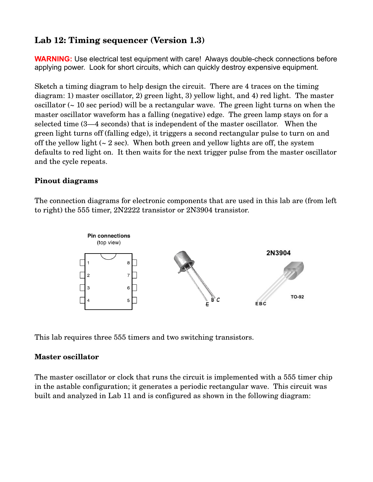# **Lab 12: Timing sequencer (Version 1.3)**

**WARNING:** Use electrical test equipment with care! Always double-check connections before applying power. Look for short circuits, which can quickly destroy expensive equipment.

Sketch a timing diagram to help design the circuit. There are 4 traces on the timing diagram: 1) master oscillator, 2) green light, 3) yellow light, and 4) red light. The master oscillator (~ 10 sec period) will be a rectangular wave. The green light turns on when the master oscillator waveform has a falling (negative) edge. The green lamp stays on for a selected time (3—4 seconds) that is independent of the master oscillator. When the green light turns off (falling edge), it triggers a second rectangular pulse to turn on and off the yellow light  $(2 \text{ sec})$ . When both green and yellow lights are off, the system defaults to red light on. It then waits for the next trigger pulse from the master oscillator and the cycle repeats.

## **Pinout diagrams**

The connection diagrams for electronic components that are used in this lab are (from left to right) the 555 timer, 2N2222 transistor or 2N3904 transistor.



This lab requires three 555 timers and two switching transistors.

### **Master oscillator**

The master oscillator or clock that runs the circuit is implemented with a 555 timer chip in the astable configuration; it generates a periodic rectangular wave. This circuit was built and analyzed in Lab 11 and is configured as shown in the following diagram: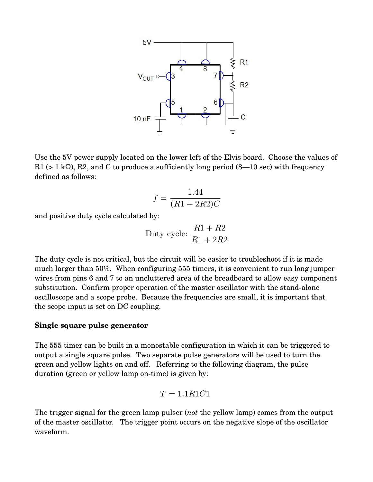

Use the 5V power supply located on the lower left of the Elvis board. Choose the values of R1 (> 1 kΩ), R2, and C to produce a sufficiently long period  $(8-10 \text{ sec})$  with frequency defined as follows:

$$
f = \frac{1.44}{(R1 + 2R2)C}
$$

and positive duty cycle calculated by:

Duty cycle: 
$$
\frac{R1 + R2}{R1 + 2R2}
$$

The duty cycle is not critical, but the circuit will be easier to troubleshoot if it is made much larger than 50%. When configuring 555 timers, it is convenient to run long jumper wires from pins 6 and 7 to an uncluttered area of the breadboard to allow easy component substitution. Confirm proper operation of the master oscillator with the stand-alone oscilloscope and a scope probe. Because the frequencies are small, it is important that the scope input is set on DC coupling.

#### **Single square pulse generator**

The 555 timer can be built in a monostable configuration in which it can be triggered to output a single square pulse. Two separate pulse generators will be used to turn the green and yellow lights on and off. Referring to the following diagram, the pulse duration (green or yellow lamp on-time) is given by:

$$
T = 1.1R1C1
$$

The trigger signal for the green lamp pulser (*not* the yellow lamp) comes from the output of the master oscillator. The trigger point occurs on the negative slope of the oscillator waveform.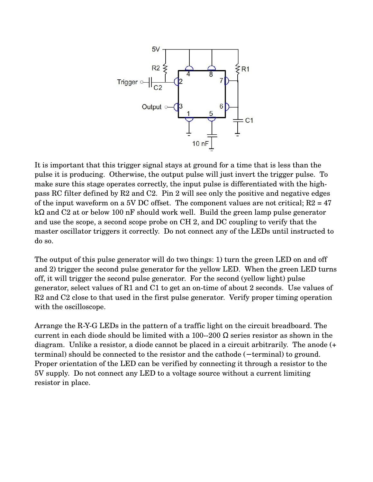

It is important that this trigger signal stays at ground for a time that is less than the pulse it is producing. Otherwise, the output pulse will just invert the trigger pulse. To make sure this stage operates correctly, the input pulse is differentiated with the highpass RC filter defined by R2 and C2. Pin 2 will see only the positive and negative edges of the input waveform on a 5V DC offset. The component values are not critical;  $R2 = 47$ kΩ and C2 at or below 100 nF should work well. Build the green lamp pulse generator and use the scope, a second scope probe on CH 2, and DC coupling to verify that the master oscillator triggers it correctly. Do not connect any of the LEDs until instructed to do so.

The output of this pulse generator will do two things: 1) turn the green LED on and off and 2) trigger the second pulse generator for the yellow LED. When the green LED turns off, it will trigger the second pulse generator. For the second (yellow light) pulse generator, select values of  $R1$  and  $C1$  to get an on-time of about 2 seconds. Use values of R2 and C2 close to that used in the first pulse generator. Verify proper timing operation with the oscilloscope.

Arrange the RYG LEDs in the pattern of a traffic light on the circuit breadboard. The current in each diode should be limited with a 100--200  $\Omega$  series resistor as shown in the diagram. Unlike a resistor, a diode cannot be placed in a circuit arbitrarily. The anode (+ terminal) should be connected to the resistor and the cathode (− terminal) to ground. Proper orientation of the LED can be verified by connecting it through a resistor to the 5V supply. Do not connect any LED to a voltage source without a current limiting resistor in place.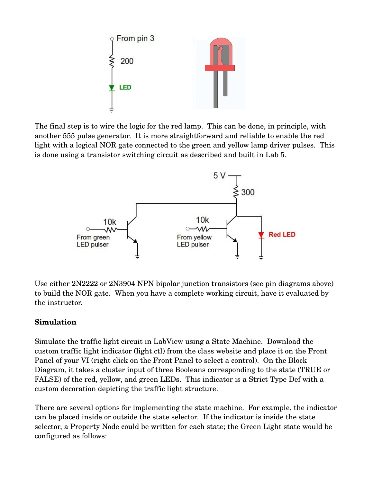

The final step is to wire the logic for the red lamp. This can be done, in principle, with another 555 pulse generator. It is more straightforward and reliable to enable the red light with a logical NOR gate connected to the green and yellow lamp driver pulses. This is done using a transistor switching circuit as described and built in Lab 5.



Use either 2N2222 or 2N3904 NPN bipolar junction transistors (see pin diagrams above) to build the NOR gate. When you have a complete working circuit, have it evaluated by the instructor.

### **Simulation**

Simulate the traffic light circuit in LabView using a State Machine. Download the custom traffic light indicator (light.ctl) from the class website and place it on the Front Panel of your VI (right click on the Front Panel to select a control). On the Block Diagram, it takes a cluster input of three Booleans corresponding to the state (TRUE or FALSE) of the red, yellow, and green LEDs. This indicator is a Strict Type Def with a custom decoration depicting the traffic light structure.

There are several options for implementing the state machine. For example, the indicator can be placed inside or outside the state selector. If the indicator is inside the state selector, a Property Node could be written for each state; the Green Light state would be configured as follows: